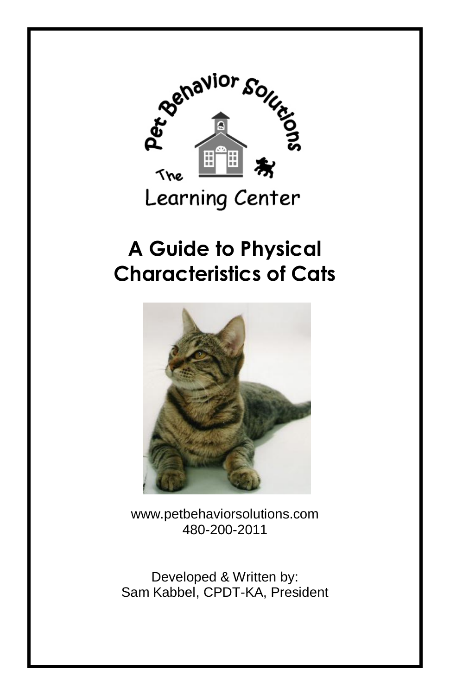

# **A Guide to Physical Characteristics of Cats**



www.petbehaviorsolutions.com 480-200-2011

Developed & Written by: Sam Kabbel, CPDT-KA, President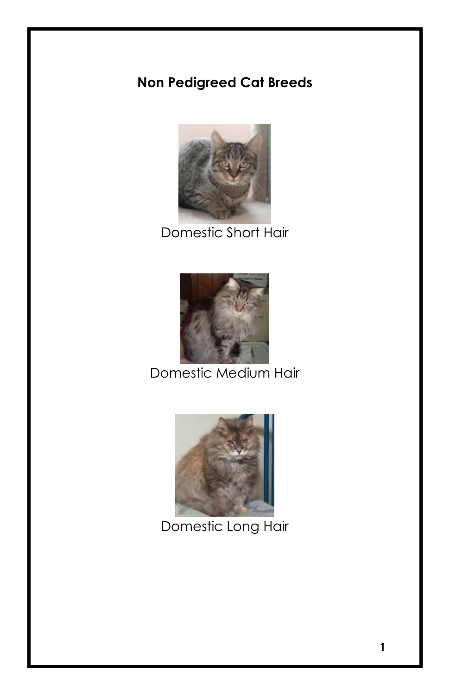# **Non Pedigreed Cat Breeds**



Domestic Short Hair



Domestic Medium Hair



Domestic Long Hair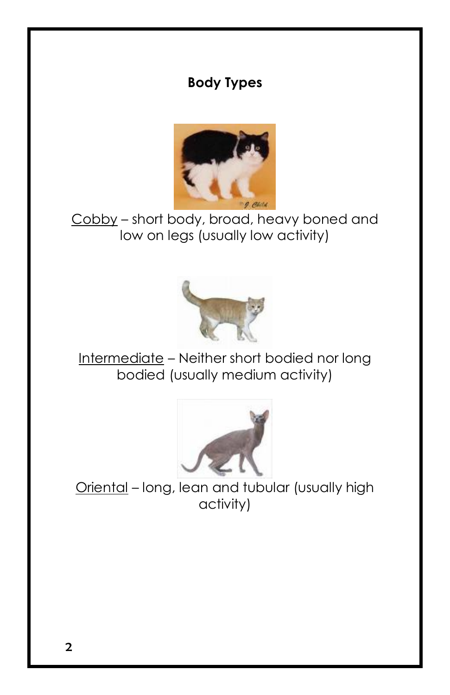## **Body Types**



Cobby – short body, broad, heavy boned and low on legs (usually low activity)



Intermediate – Neither short bodied nor long bodied (usually medium activity)



Oriental – long, lean and tubular (usually high activity)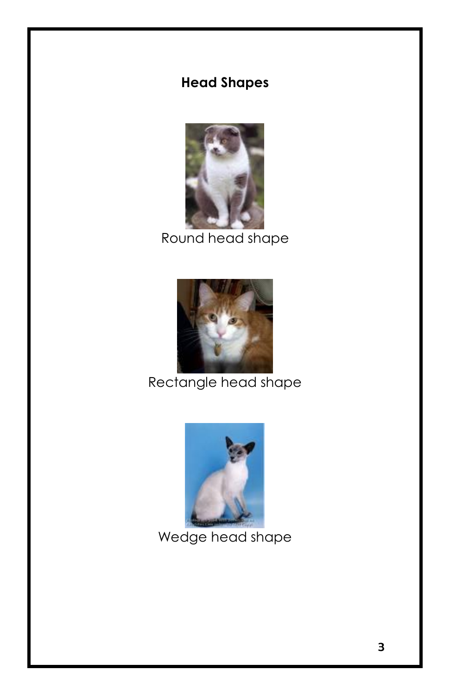## **Head Shapes**



Round head shape



Rectangle head shape



Wedge head shape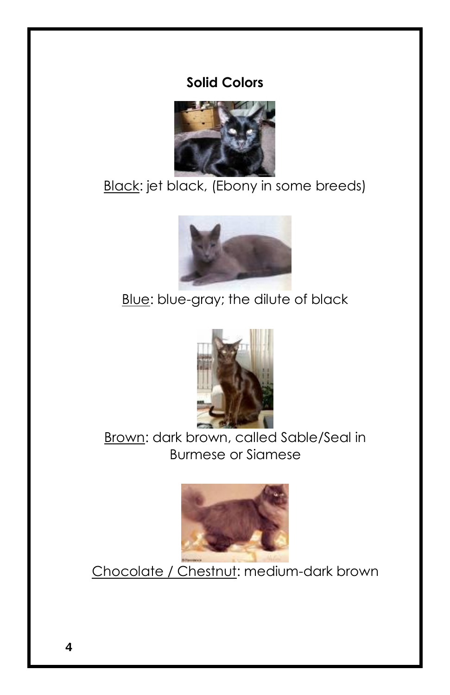#### **Solid Colors**



Black: jet black, (Ebony in some breeds)



Blue: blue-gray; the dilute of black



Brown: dark brown, called Sable/Seal in Burmese or Siamese



Chocolate / Chestnut: medium-dark brown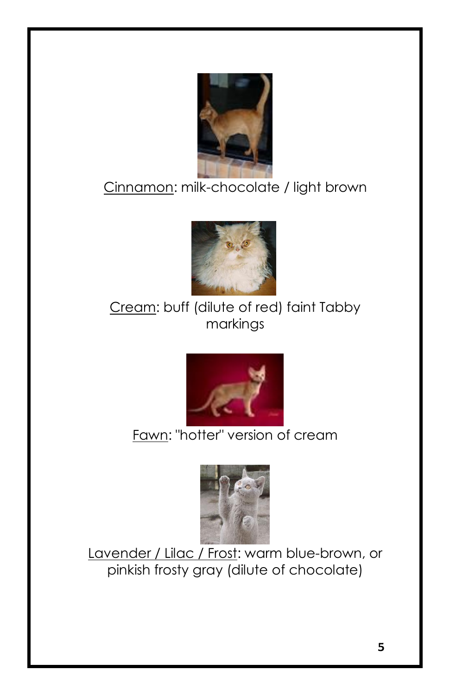

# Cinnamon: milk-chocolate / light brown



## Cream: buff (dilute of red) faint Tabby markings



# Fawn: "hotter" version of cream



Lavender / Lilac / Frost: warm blue-brown, or pinkish frosty gray (dilute of chocolate)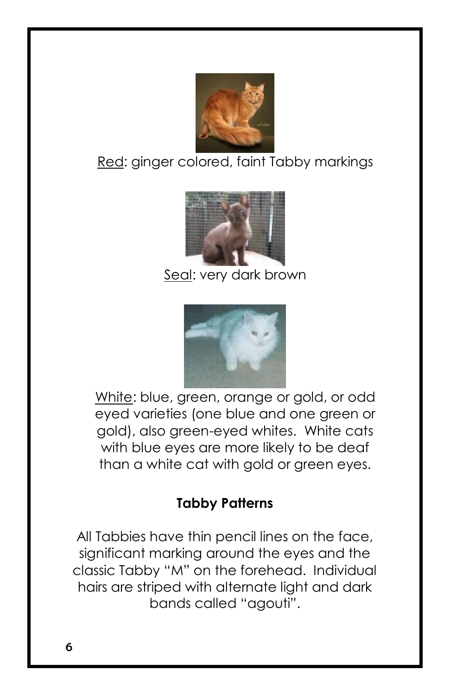

Red: ginger colored, faint Tabby markings



Seal: very dark brown



White: blue, green, orange or gold, or odd eyed varieties (one blue and one green or gold), also green-eyed whites. White cats with blue eyes are more likely to be deaf than a white cat with gold or green eyes.

## **Tabby Patterns**

All Tabbies have thin pencil lines on the face, significant marking around the eyes and the classic Tabby "M" on the forehead. Individual hairs are striped with alternate light and dark bands called "agouti".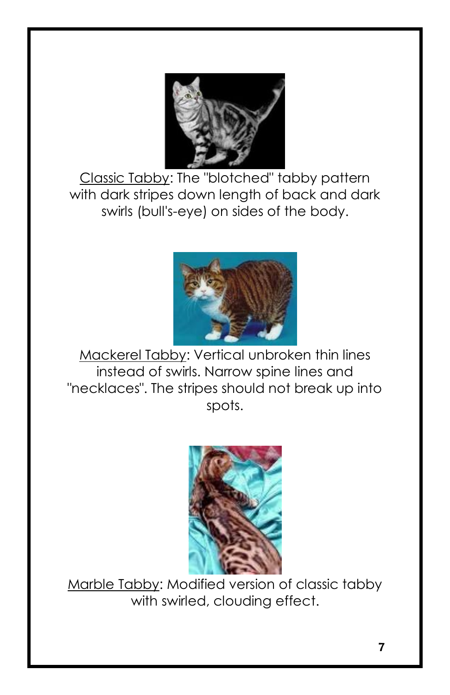

Classic Tabby: The "blotched" tabby pattern with dark stripes down length of back and dark swirls (bull's-eye) on sides of the body.



Mackerel Tabby: Vertical unbroken thin lines instead of swirls. Narrow spine lines and "necklaces". The stripes should not break up into spots.



Marble Tabby: Modified version of classic tabby with swirled, clouding effect.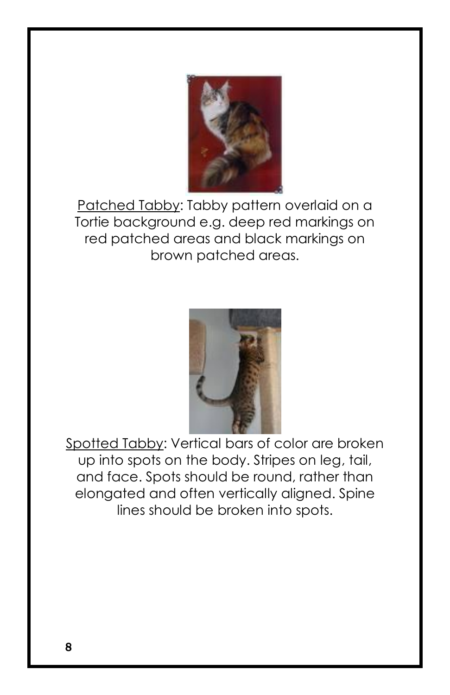

Patched Tabby: Tabby pattern overlaid on a Tortie background e.g. deep red markings on red patched areas and black markings on brown patched areas.



Spotted Tabby: Vertical bars of color are broken up into spots on the body. Stripes on leg, tail, and face. Spots should be round, rather than elongated and often vertically aligned. Spine lines should be broken into spots.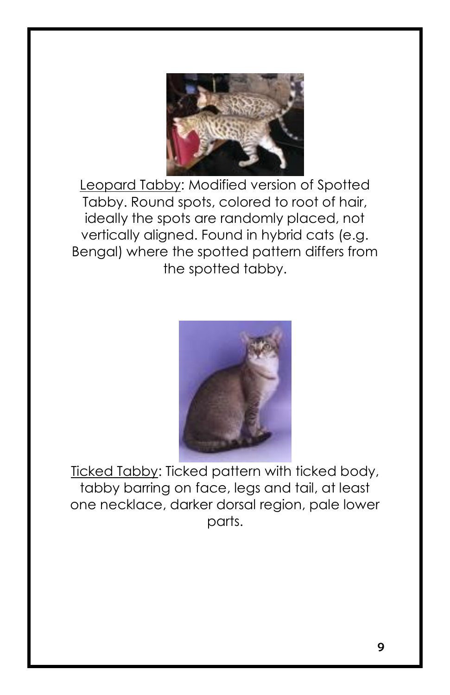

Leopard Tabby: Modified version of Spotted Tabby. Round spots, colored to root of hair, ideally the spots are randomly placed, not vertically aligned. Found in hybrid cats (e.g. Bengal) where the spotted pattern differs from the spotted tabby.



Ticked Tabby: Ticked pattern with ticked body, tabby barring on face, legs and tail, at least one necklace, darker dorsal region, pale lower parts.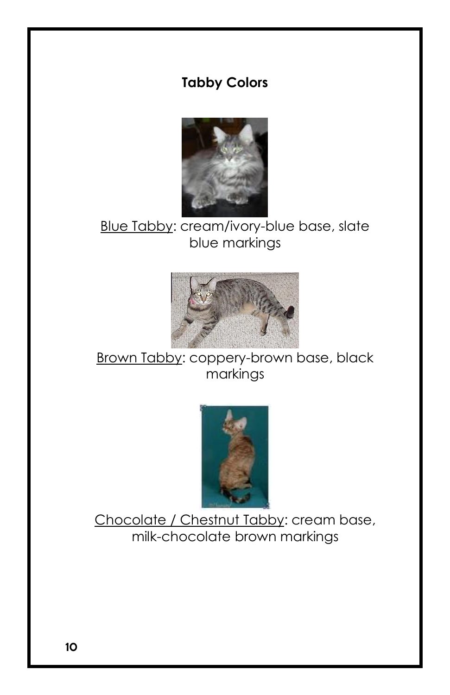#### **Tabby Colors**



## Blue Tabby: cream/ivory-blue base, slate blue markings



Brown Tabby: coppery-brown base, black markings



Chocolate / Chestnut Tabby: cream base, milk-chocolate brown markings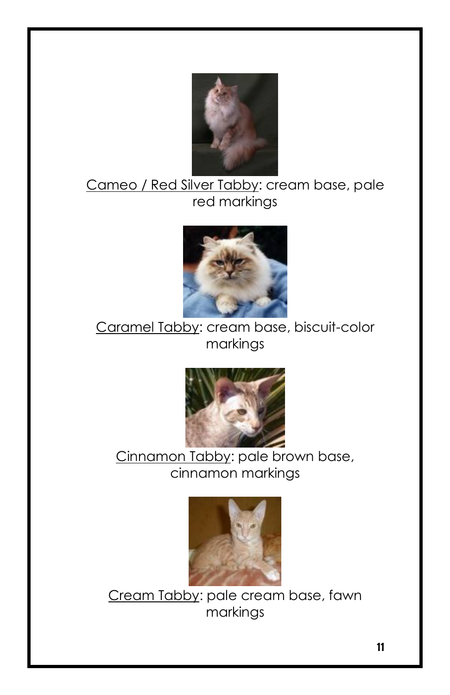

#### Cameo / Red Silver Tabby: cream base, pale red markings



#### Caramel Tabby: cream base, biscuit-color markings



#### Cinnamon Tabby: pale brown base, cinnamon markings



Cream Tabby: pale cream base, fawn markings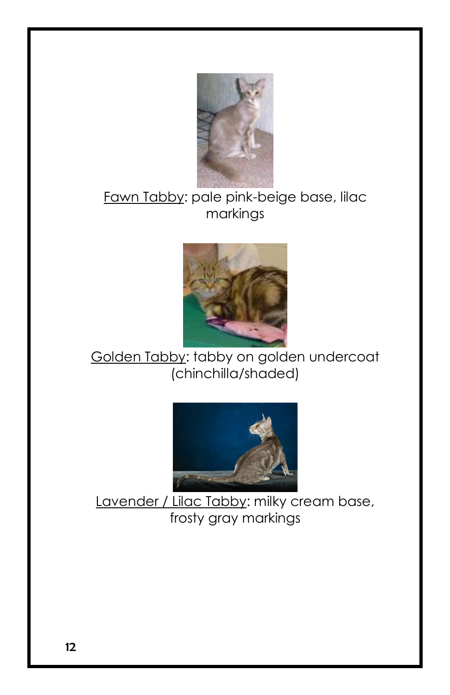

#### Fawn Tabby: pale pink-beige base, lilac markings



#### Golden Tabby: tabby on golden undercoat (chinchilla/shaded)



Lavender / Lilac Tabby: milky cream base, frosty gray markings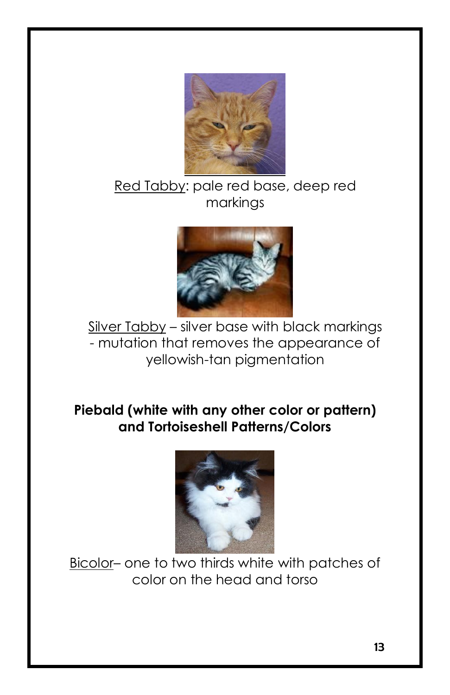

#### Red Tabby: pale red base, deep red markings



Silver Tabby - silver base with black markings - mutation that removes the appearance of yellowish-tan pigmentation

#### **Piebald (white with any other color or pattern) and Tortoiseshell Patterns/Colors**



Bicolor– one to two thirds white with patches of color on the head and torso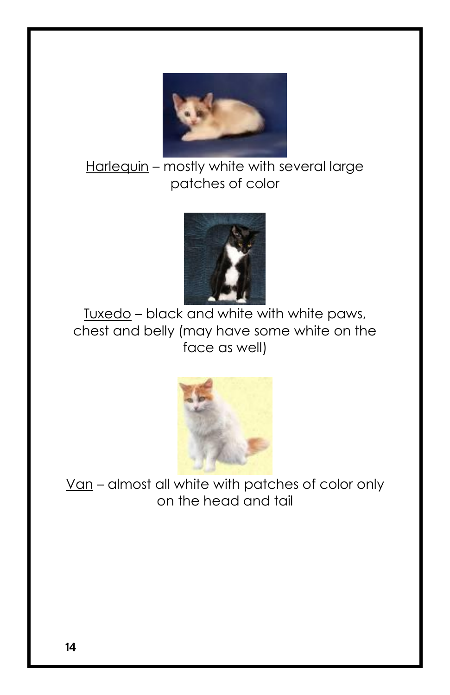

Harlequin – mostly white with several large patches of color



Tuxedo – black and white with white paws, chest and belly (may have some white on the face as well)



Van – almost all white with patches of color only on the head and tail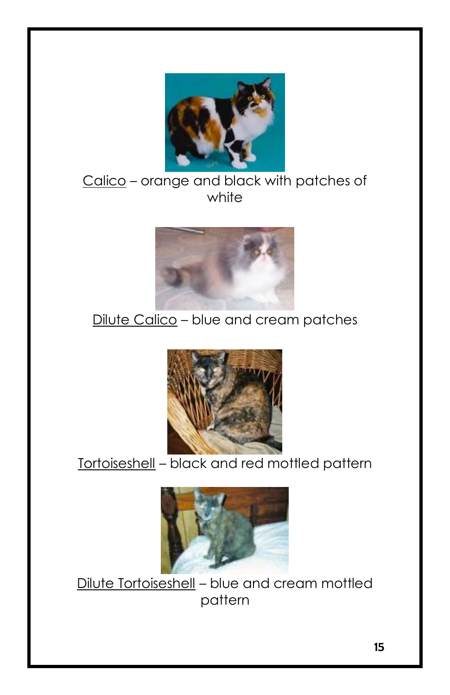

#### Calico – orange and black with patches of white



## Dilute Calico - blue and cream patches



## Tortoiseshell – black and red mottled pattern



Dilute Tortoiseshell – blue and cream mottled pattern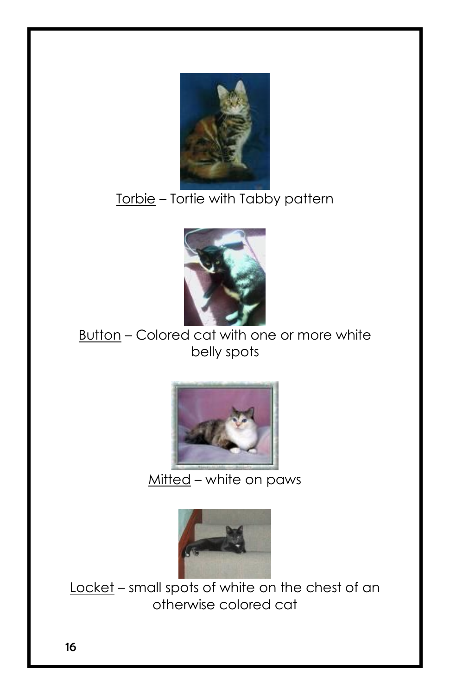

# Torbie – Tortie with Tabby pattern



#### Button – Colored cat with one or more white belly spots



#### Mitted – white on paws



Locket – small spots of white on the chest of an otherwise colored cat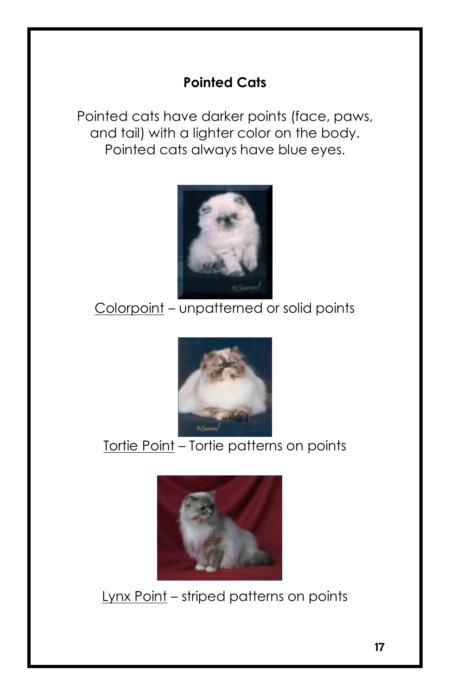## **Pointed Cats**

Pointed cats have darker points (face, paws, and tail) with a lighter color on the body. Pointed cats always have blue eyes.



# Colorpoint – unpatterned or solid points



# Tortie Point - Tortie patterns on points



Lynx Point – striped patterns on points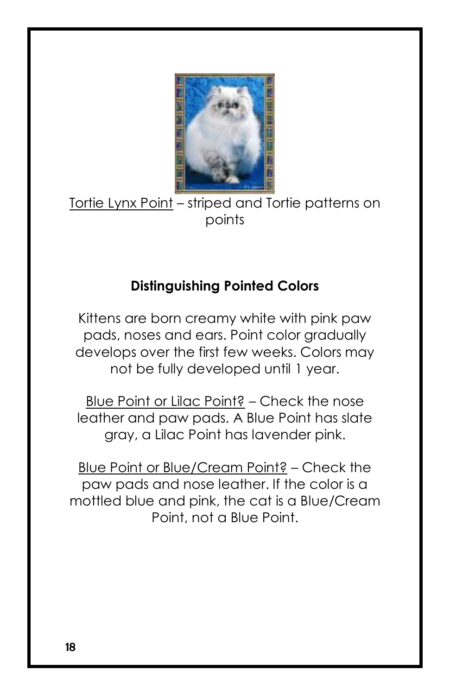

Tortie Lynx Point – striped and Tortie patterns on points

## **Distinguishing Pointed Colors**

Kittens are born creamy white with pink paw pads, noses and ears. Point color gradually develops over the first few weeks. Colors may not be fully developed until 1 year.

Blue Point or Lilac Point? – Check the nose leather and paw pads. A Blue Point has slate gray, a Lilac Point has lavender pink.

Blue Point or Blue/Cream Point? – Check the paw pads and nose leather. If the color is a mottled blue and pink, the cat is a Blue/Cream Point, not a Blue Point.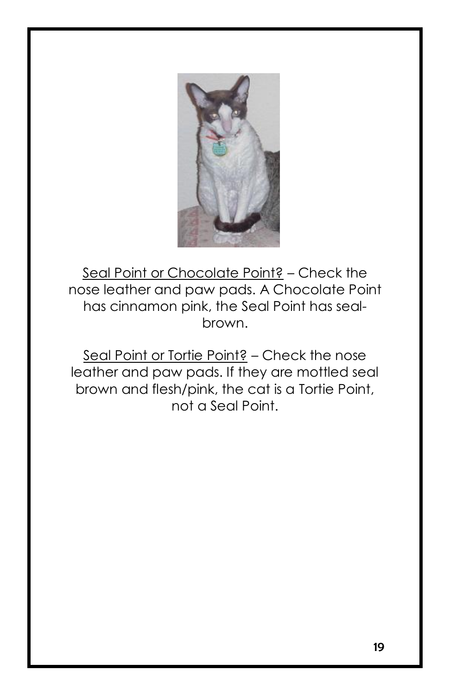

Seal Point or Chocolate Point? – Check the nose leather and paw pads. A Chocolate Point has cinnamon pink, the Seal Point has sealbrown.

Seal Point or Tortie Point? – Check the nose leather and paw pads. If they are mottled seal brown and flesh/pink, the cat is a Tortie Point, not a Seal Point.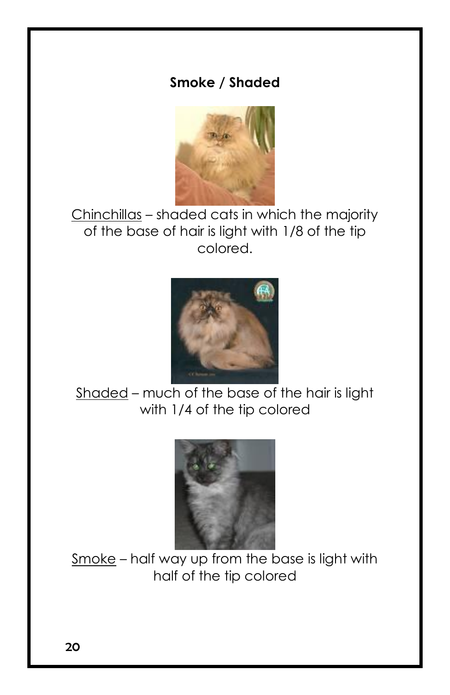#### **Smoke / Shaded**



Chinchillas – shaded cats in which the majority of the base of hair is light with 1/8 of the tip colored.



Shaded – much of the base of the hair is light with 1/4 of the tip colored



Smoke – half way up from the base is light with half of the tip colored